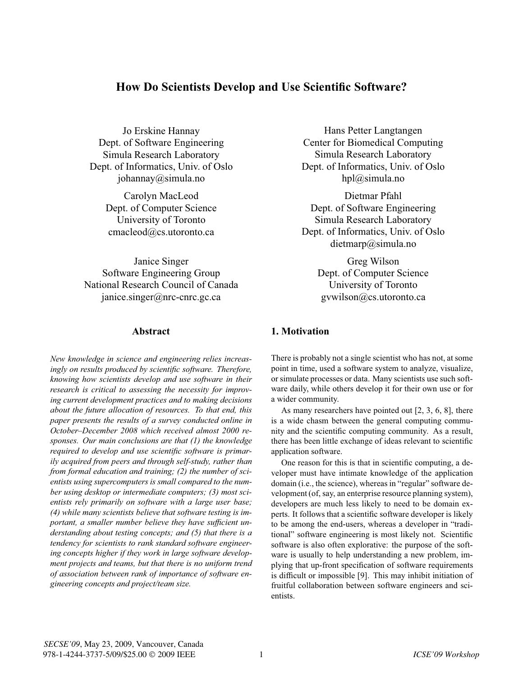# **How Do Scientists Develop and Use Scientific Software?**

Jo Erskine Hannay Dept. of Software Engineering Simula Research Laboratory Dept. of Informatics, Univ. of Oslo johannay@simula.no

> Carolyn MacLeod Dept. of Computer Science University of Toronto cmacleod@cs.utoronto.ca

Janice Singer Software Engineering Group National Research Council of Canada janice.singer@nrc-cnrc.gc.ca

## **Abstract**

*New knowledge in science and engineering relies increasingly on results produced by scientific software. Therefore, knowing how scientists develop and use software in their research is critical to assessing the necessity for improving current development practices and to making decisions about the future allocation of resources. To that end, this paper presents the results of a survey conducted online in October–December 2008 which received almost 2000 responses. Our main conclusions are that (1) the knowledge required to develop and use scientific software is primarily acquired from peers and through self-study, rather than from formal education and training; (2) the number of scientists using supercomputers is small compared to the number using desktop or intermediate computers; (3) most scientists rely primarily on software with a large user base; (4) while many scientists believe that software testing is important, a smaller number believe they have sufficient understanding about testing concepts; and (5) that there is a tendency for scientists to rank standard software engineering concepts higher if they work in large software development projects and teams, but that there is no uniform trend of association between rank of importance of software engineering concepts and project/team size.*

Hans Petter Langtangen Center for Biomedical Computing Simula Research Laboratory Dept. of Informatics, Univ. of Oslo hpl@simula.no

Dietmar Pfahl Dept. of Software Engineering Simula Research Laboratory Dept. of Informatics, Univ. of Oslo dietmarp@simula.no

Greg Wilson Dept. of Computer Science University of Toronto gvwilson@cs.utoronto.ca

# **1. Motivation**

There is probably not a single scientist who has not, at some point in time, used a software system to analyze, visualize, or simulate processes or data. Many scientists use such software daily, while others develop it for their own use or for a wider community.

As many researchers have pointed out [2, 3, 6, 8], there is a wide chasm between the general computing community and the scientific computing community. As a result, there has been little exchange of ideas relevant to scientific application software.

One reason for this is that in scientific computing, a developer must have intimate knowledge of the application domain (i.e., the science), whereas in "regular" software development (of, say, an enterprise resource planning system), developers are much less likely to need to be domain experts. It follows that a scientific software developer is likely to be among the end-users, whereas a developer in "traditional" software engineering is most likely not. Scientific software is also often explorative: the purpose of the software is usually to help understanding a new problem, implying that up-front specification of software requirements is difficult or impossible [9]. This may inhibit initiation of fruitful collaboration between software engineers and scientists.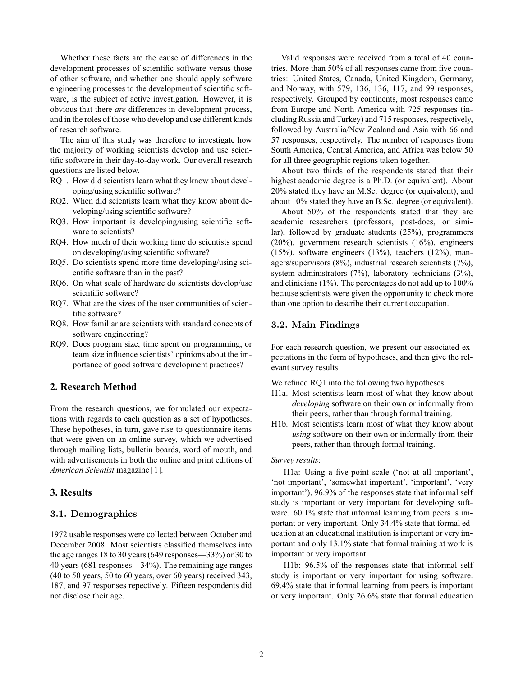Whether these facts are the cause of differences in the development processes of scientific software versus those of other software, and whether one should apply software engineering processes to the development of scientific software, is the subject of active investigation. However, it is obvious that there *are* differences in development process, and in the roles of those who develop and use different kinds of research software.

The aim of this study was therefore to investigate how the majority of working scientists develop and use scientific software in their day-to-day work. Our overall research questions are listed below.

- RQ1. How did scientists learn what they know about developing/using scientific software?
- RQ2. When did scientists learn what they know about developing/using scientific software?
- RQ3. How important is developing/using scientific software to scientists?
- RQ4. How much of their working time do scientists spend on developing/using scientific software?
- RQ5. Do scientists spend more time developing/using scientific software than in the past?
- RQ6. On what scale of hardware do scientists develop/use scientific software?
- RQ7. What are the sizes of the user communities of scientific software?
- RQ8. How familiar are scientists with standard concepts of software engineering?
- RQ9. Does program size, time spent on programming, or team size influence scientists' opinions about the importance of good software development practices?

# **2. Research Method**

From the research questions, we formulated our expectations with regards to each question as a set of hypotheses. These hypotheses, in turn, gave rise to questionnaire items that were given on an online survey, which we advertised through mailing lists, bulletin boards, word of mouth, and with advertisements in both the online and print editions of *American Scientist* magazine [1].

## **3. Results**

### **3.1. Demographics**

1972 usable responses were collected between October and December 2008. Most scientists classified themselves into the age ranges 18 to 30 years (649 responses—33%) or 30 to 40 years (681 responses—34%). The remaining age ranges (40 to 50 years, 50 to 60 years, over 60 years) received 343, 187, and 97 responses repectively. Fifteen respondents did not disclose their age.

Valid responses were received from a total of 40 countries. More than 50% of all responses came from five countries: United States, Canada, United Kingdom, Germany, and Norway, with 579, 136, 136, 117, and 99 responses, respectively. Grouped by continents, most responses came from Europe and North America with 725 responses (including Russia and Turkey) and 715 responses, respectively, followed by Australia/New Zealand and Asia with 66 and 57 responses, respectively. The number of responses from South America, Central America, and Africa was below 50 for all three geographic regions taken together.

About two thirds of the respondents stated that their highest academic degree is a Ph.D. (or equivalent). About 20% stated they have an M.Sc. degree (or equivalent), and about 10% stated they have an B.Sc. degree (or equivalent).

About 50% of the respondents stated that they are academic researchers (professors, post-docs, or similar), followed by graduate students (25%), programmers (20%), government research scientists (16%), engineers  $(15\%)$ , software engineers  $(13\%)$ , teachers  $(12\%)$ , managers/supervisors (8%), industrial research scientists (7%), system administrators (7%), laboratory technicians (3%), and clinicians (1%). The percentages do not add up to 100% because scientists were given the opportunity to check more than one option to describe their current occupation.

#### **3.2. Main Findings**

For each research question, we present our associated expectations in the form of hypotheses, and then give the relevant survey results.

We refined RQ1 into the following two hypotheses:

- H1a. Most scientists learn most of what they know about *developing* software on their own or informally from their peers, rather than through formal training.
- H1b. Most scientists learn most of what they know about *using* software on their own or informally from their peers, rather than through formal training.

#### *Survey results*:

H1a: Using a five-point scale ('not at all important', 'not important', 'somewhat important', 'important', 'very important'), 96.9% of the responses state that informal self study is important or very important for developing software.  $60.1\%$  state that informal learning from peers is important or very important. Only 34.4% state that formal education at an educational institution is important or very important and only 13.1% state that formal training at work is important or very important.

H1b: 96.5% of the responses state that informal self study is important or very important for using software. 69.4% state that informal learning from peers is important or very important. Only 26.6% state that formal education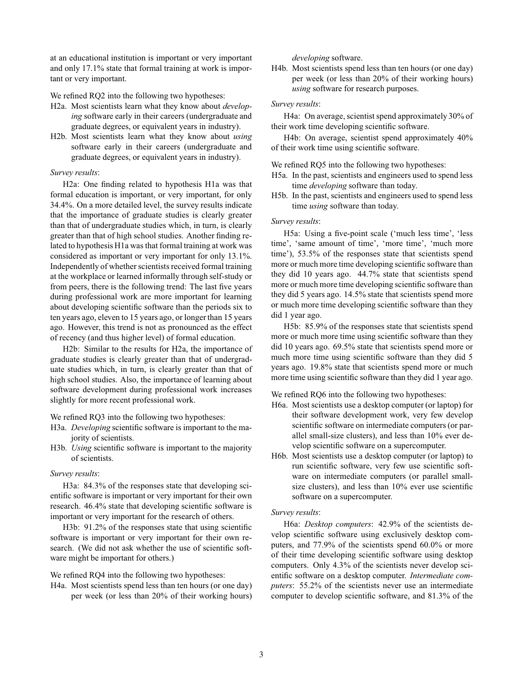at an educational institution is important or very important and only 17.1% state that formal training at work is important or very important.

We refined RQ2 into the following two hypotheses:

- H2a. Most scientists learn what they know about *developing* software early in their careers (undergraduate and graduate degrees, or equivalent years in industry).
- H2b. Most scientists learn what they know about *using* software early in their careers (undergraduate and graduate degrees, or equivalent years in industry).

#### *Survey results*:

H2a: One finding related to hypothesis H1a was that formal education is important, or very important, for only 34.4%. On a more detailed level, the survey results indicate that the importance of graduate studies is clearly greater than that of undergraduate studies which, in turn, is clearly greater than that of high school studies. Another finding related to hypothesis H1a was that formal training at work was considered as important or very important for only 13.1%. Independently of whether scientists received formal training at the workplace or learned informally through self-study or from peers, there is the following trend: The last five years during professional work are more important for learning about developing scientific software than the periods six to ten years ago, eleven to 15 years ago, or longer than 15 years ago. However, this trend is not as pronounced as the effect of recency (and thus higher level) of formal education.

H2b: Similar to the results for H2a, the importance of graduate studies is clearly greater than that of undergraduate studies which, in turn, is clearly greater than that of high school studies. Also, the importance of learning about software development during professional work increases slightly for more recent professional work.

We refined RQ3 into the following two hypotheses:

- H3a. *Developing* scientific software is important to the majority of scientists.
- H3b. *Using* scientific software is important to the majority of scientists.

#### *Survey results*:

H3a: 84.3% of the responses state that developing scientific software is important or very important for their own research. 46.4% state that developing scientific software is important or very important for the research of others.

H3b: 91.2% of the responses state that using scientific software is important or very important for their own research. (We did not ask whether the use of scientific software might be important for others.)

#### We refined RQ4 into the following two hypotheses:

H4a. Most scientists spend less than ten hours (or one day) per week (or less than 20% of their working hours)

#### *developing* software.

H4b. Most scientists spend less than ten hours (or one day) per week (or less than 20% of their working hours) *using* software for research purposes.

#### *Survey results*:

H4a: On average, scientist spend approximately 30% of their work time developing scientific software.

H4b: On average, scientist spend approximately 40% of their work time using scientific software.

We refined RQ5 into the following two hypotheses:

- H5a. In the past, scientists and engineers used to spend less time *developing* software than today.
- H5b. In the past, scientists and engineers used to spend less time *using* software than today.

### *Survey results*:

H5a: Using a five-point scale ('much less time', 'less time', 'same amount of time', 'more time', 'much more time'), 53.5% of the responses state that scientists spend more or much more time developing scientific software than they did 10 years ago. 44.7% state that scientists spend more or much more time developing scientific software than they did 5 years ago. 14.5% state that scientists spend more or much more time developing scientific software than they did 1 year ago.

H5b: 85.9% of the responses state that scientists spend more or much more time using scientific software than they did 10 years ago. 69.5% state that scientists spend more or much more time using scientific software than they did 5 years ago. 19.8% state that scientists spend more or much more time using scientific software than they did 1 year ago.

We refined RQ6 into the following two hypotheses:

- H6a. Most scientists use a desktop computer (or laptop) for their software development work, very few develop scientific software on intermediate computers (or parallel small-size clusters), and less than 10% ever develop scientific software on a supercomputer.
- H6b. Most scientists use a desktop computer (or laptop) to run scientific software, very few use scientific software on intermediate computers (or parallel smallsize clusters), and less than 10% ever use scientific software on a supercomputer.

#### *Survey results*:

H6a: *Desktop computers*: 42.9% of the scientists develop scientific software using exclusively desktop computers, and 77.9% of the scientists spend 60.0% or more of their time developing scientific software using desktop computers. Only 4.3% of the scientists never develop scientific software on a desktop computer. *Intermediate computers*: 55.2% of the scientists never use an intermediate computer to develop scientific software, and 81.3% of the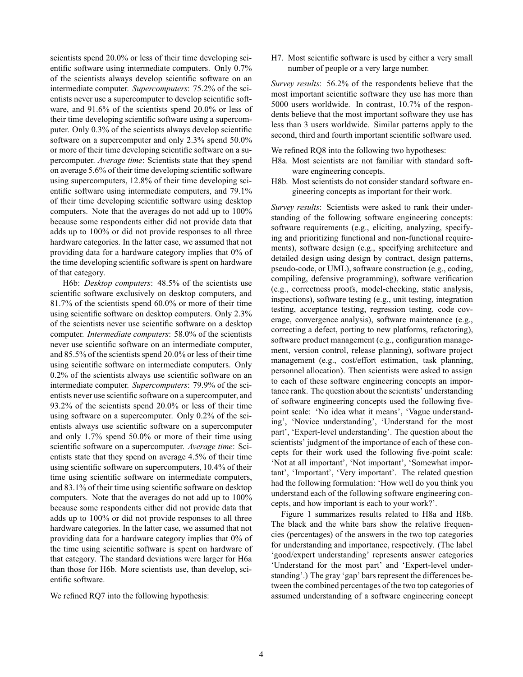scientists spend 20.0% or less of their time developing scientific software using intermediate computers. Only 0.7% of the scientists always develop scientific software on an intermediate computer. *Supercomputers*: 75.2% of the scientists never use a supercomputer to develop scientific software, and 91.6% of the scientists spend 20.0% or less of their time developing scientific software using a supercomputer. Only 0.3% of the scientists always develop scientific software on a supercomputer and only 2.3% spend 50.0% or more of their time developing scientific software on a supercomputer. *Average time*: Scientists state that they spend on average 5.6% of their time developing scientific software using supercomputers, 12.8% of their time developing scientific software using intermediate computers, and 79.1% of their time developing scientific software using desktop computers. Note that the averages do not add up to 100% because some respondents either did not provide data that adds up to 100% or did not provide responses to all three hardware categories. In the latter case, we assumed that not providing data for a hardware category implies that 0% of the time developing scientific software is spent on hardware of that category.

H6b: *Desktop computers*: 48.5% of the scientists use scientific software exclusively on desktop computers, and 81.7% of the scientists spend 60.0% or more of their time using scientific software on desktop computers. Only 2.3% of the scientists never use scientific software on a desktop computer. *Intermediate computers*: 58.0% of the scientists never use scientific software on an intermediate computer, and 85.5% of the scientists spend 20.0% or less of their time using scientific software on intermediate computers. Only 0.2% of the scientists always use scientific software on an intermediate computer. *Supercomputers*: 79.9% of the scientists never use scientific software on a supercomputer, and 93.2% of the scientists spend 20.0% or less of their time using software on a supercomputer. Only 0.2% of the scientists always use scientific software on a supercomputer and only 1.7% spend 50.0% or more of their time using scientific software on a supercomputer. *Average time*: Scientists state that they spend on average 4.5% of their time using scientific software on supercomputers, 10.4% of their time using scientific software on intermediate computers, and 83.1% of their time using scientific software on desktop computers. Note that the averages do not add up to 100% because some respondents either did not provide data that adds up to 100% or did not provide responses to all three hardware categories. In the latter case, we assumed that not providing data for a hardware category implies that 0% of the time using scientific software is spent on hardware of that category. The standard deviations were larger for H6a than those for H6b. More scientists use, than develop, scientific software.

We refined RQ7 into the following hypothesis:

H7. Most scientific software is used by either a very small number of people or a very large number.

*Survey results*: 56.2% of the respondents believe that the most important scientific software they use has more than 5000 users worldwide. In contrast, 10.7% of the respondents believe that the most important software they use has less than 3 users worldwide. Similar patterns apply to the second, third and fourth important scientific software used.

We refined RQ8 into the following two hypotheses:

- H8a. Most scientists are not familiar with standard software engineering concepts.
- H8b. Most scientists do not consider standard software engineering concepts as important for their work.

*Survey results*: Scientists were asked to rank their understanding of the following software engineering concepts: software requirements (e.g., eliciting, analyzing, specifying and prioritizing functional and non-functional requirements), software design (e.g., specifying architecture and detailed design using design by contract, design patterns, pseudo-code, or UML), software construction (e.g., coding, compiling, defensive programming), software verification (e.g., correctness proofs, model-checking, static analysis, inspections), software testing (e.g., unit testing, integration testing, acceptance testing, regression testing, code coverage, convergence analysis), software maintenance (e.g., correcting a defect, porting to new platforms, refactoring), software product management (e.g., configuration management, version control, release planning), software project management (e.g., cost/effort estimation, task planning, personnel allocation). Then scientists were asked to assign to each of these software engineering concepts an importance rank. The question about the scientists' understanding of software engineering concepts used the following fivepoint scale: 'No idea what it means', 'Vague understanding', 'Novice understanding', 'Understand for the most part', 'Expert-level understanding'. The question about the scientists' judgment of the importance of each of these concepts for their work used the following five-point scale: 'Not at all important', 'Not important', 'Somewhat important', 'Important', 'Very important'. The related question had the following formulation: 'How well do you think you understand each of the following software engineering concepts, and how important is each to your work?'.

Figure 1 summarizes results related to H8a and H8b. The black and the white bars show the relative frequencies (percentages) of the answers in the two top categories for understanding and importance, respectively. (The label 'good/expert understanding' represents answer categories 'Understand for the most part' and 'Expert-level understanding'.) The gray 'gap' bars represent the differences between the combined percentages of the two top categories of assumed understanding of a software engineering concept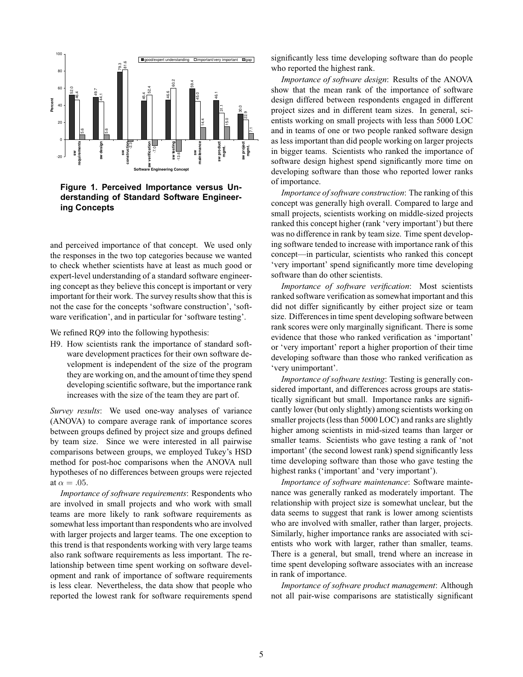

## **Figure 1. Perceived Importance versus Understanding of Standard Software Engineering Concepts**

and perceived importance of that concept. We used only the responses in the two top categories because we wanted to check whether scientists have at least as much good or expert-level understanding of a standard software engineering concept as they believe this concept is important or very important for their work. The survey results show that this is not the case for the concepts 'software construction', 'software verification', and in particular for 'software testing'.

We refined RQ9 into the following hypothesis:

H9. How scientists rank the importance of standard software development practices for their own software development is independent of the size of the program they are working on, and the amount of time they spend developing scientific software, but the importance rank increases with the size of the team they are part of.

*Survey results*: We used one-way analyses of variance (ANOVA) to compare average rank of importance scores between groups defined by project size and groups defined by team size. Since we were interested in all pairwise comparisons between groups, we employed Tukey's HSD method for post-hoc comparisons when the ANOVA null hypotheses of no differences between groups were rejected at  $\alpha = .05$ .

*Importance of software requirements*: Respondents who are involved in small projects and who work with small teams are more likely to rank software requirements as somewhat less important than respondents who are involved with larger projects and larger teams. The one exception to this trend is that respondents working with very large teams also rank software requirements as less important. The relationship between time spent working on software development and rank of importance of software requirements is less clear. Nevertheless, the data show that people who reported the lowest rank for software requirements spend significantly less time developing software than do people who reported the highest rank.

*Importance of software design*: Results of the ANOVA show that the mean rank of the importance of software design differed between respondents engaged in different project sizes and in different team sizes. In general, scientists working on small projects with less than 5000 LOC and in teams of one or two people ranked software design as less important than did people working on larger projects in bigger teams. Scientists who ranked the importance of software design highest spend significantly more time on developing software than those who reported lower ranks of importance.

*Importance of software construction*: The ranking of this concept was generally high overall. Compared to large and small projects, scientists working on middle-sized projects ranked this concept higher (rank 'very important') but there was no difference in rank by team size. Time spent developing software tended to increase with importance rank of this concept—in particular, scientists who ranked this concept 'very important' spend significantly more time developing software than do other scientists.

*Importance of software verification*: Most scientists ranked software verification as somewhat important and this did not differ significantly by either project size or team size. Differences in time spent developing software between rank scores were only marginally significant. There is some evidence that those who ranked verification as 'important' or 'very important' report a higher proportion of their time developing software than those who ranked verification as 'very unimportant'.

*Importance of software testing*: Testing is generally considered important, and differences across groups are statistically significant but small. Importance ranks are significantly lower (but only slightly) among scientists working on smaller projects (less than 5000 LOC) and ranks are slightly higher among scientists in mid-sized teams than larger or smaller teams. Scientists who gave testing a rank of 'not important' (the second lowest rank) spend significantly less time developing software than those who gave testing the highest ranks ('important' and 'very important').

*Importance of software maintenance*: Software maintenance was generally ranked as moderately important. The relationship with project size is somewhat unclear, but the data seems to suggest that rank is lower among scientists who are involved with smaller, rather than larger, projects. Similarly, higher importance ranks are associated with scientists who work with larger, rather than smaller, teams. There is a general, but small, trend where an increase in time spent developing software associates with an increase in rank of importance.

*Importance of software product management*: Although not all pair-wise comparisons are statistically significant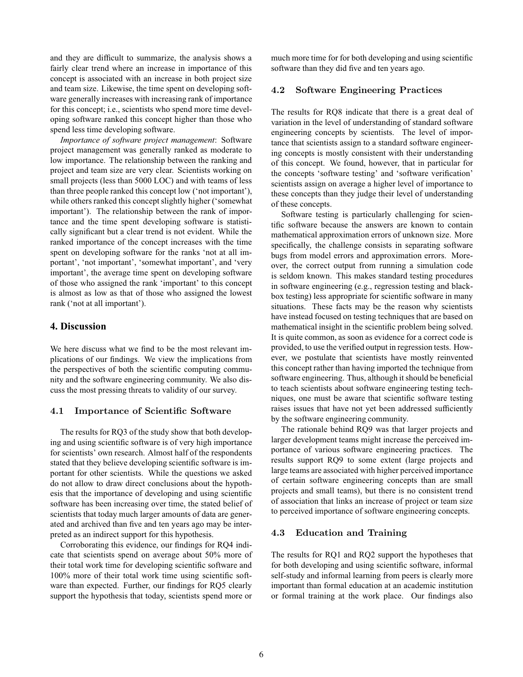and they are difficult to summarize, the analysis shows a fairly clear trend where an increase in importance of this concept is associated with an increase in both project size and team size. Likewise, the time spent on developing software generally increases with increasing rank of importance for this concept; i.e., scientists who spend more time developing software ranked this concept higher than those who spend less time developing software.

*Importance of software project management*: Software project management was generally ranked as moderate to low importance. The relationship between the ranking and project and team size are very clear. Scientists working on small projects (less than 5000 LOC) and with teams of less than three people ranked this concept low ('not important'), while others ranked this concept slightly higher ('somewhat important'). The relationship between the rank of importance and the time spent developing software is statistically significant but a clear trend is not evident. While the ranked importance of the concept increases with the time spent on developing software for the ranks 'not at all important', 'not important', 'somewhat important', and 'very important', the average time spent on developing software of those who assigned the rank 'important' to this concept is almost as low as that of those who assigned the lowest rank ('not at all important').

## **4. Discussion**

We here discuss what we find to be the most relevant implications of our findings. We view the implications from the perspectives of both the scientific computing community and the software engineering community. We also discuss the most pressing threats to validity of our survey.

### **4.1 Importance of Scientific Software**

The results for RQ3 of the study show that both developing and using scientific software is of very high importance for scientists' own research. Almost half of the respondents stated that they believe developing scientific software is important for other scientists. While the questions we asked do not allow to draw direct conclusions about the hypothesis that the importance of developing and using scientific software has been increasing over time, the stated belief of scientists that today much larger amounts of data are generated and archived than five and ten years ago may be interpreted as an indirect support for this hypothesis.

Corroborating this evidence, our findings for RQ4 indicate that scientists spend on average about 50% more of their total work time for developing scientific software and 100% more of their total work time using scientific software than expected. Further, our findings for RQ5 clearly support the hypothesis that today, scientists spend more or much more time for for both developing and using scientific software than they did five and ten years ago.

#### **4.2 Software Engineering Practices**

The results for RQ8 indicate that there is a great deal of variation in the level of understanding of standard software engineering concepts by scientists. The level of importance that scientists assign to a standard software engineering concepts is mostly consistent with their understanding of this concept. We found, however, that in particular for the concepts 'software testing' and 'software verification' scientists assign on average a higher level of importance to these concepts than they judge their level of understanding of these concepts.

Software testing is particularly challenging for scientific software because the answers are known to contain mathematical approximation errors of unknown size. More specifically, the challenge consists in separating software bugs from model errors and approximation errors. Moreover, the correct output from running a simulation code is seldom known. This makes standard testing procedures in software engineering (e.g., regression testing and blackbox testing) less appropriate for scientific software in many situations. These facts may be the reason why scientists have instead focused on testing techniques that are based on mathematical insight in the scientific problem being solved. It is quite common, as soon as evidence for a correct code is provided, to use the verified output in regression tests. However, we postulate that scientists have mostly reinvented this concept rather than having imported the technique from software engineering. Thus, although it should be beneficial to teach scientists about software engineering testing techniques, one must be aware that scientific software testing raises issues that have not yet been addressed sufficiently by the software engineering community.

The rationale behind RQ9 was that larger projects and larger development teams might increase the perceived importance of various software engineering practices. The results support RQ9 to some extent (large projects and large teams are associated with higher perceived importance of certain software engineering concepts than are small projects and small teams), but there is no consistent trend of association that links an increase of project or team size to perceived importance of software engineering concepts.

#### **4.3 Education and Training**

The results for RQ1 and RQ2 support the hypotheses that for both developing and using scientific software, informal self-study and informal learning from peers is clearly more important than formal education at an academic institution or formal training at the work place. Our findings also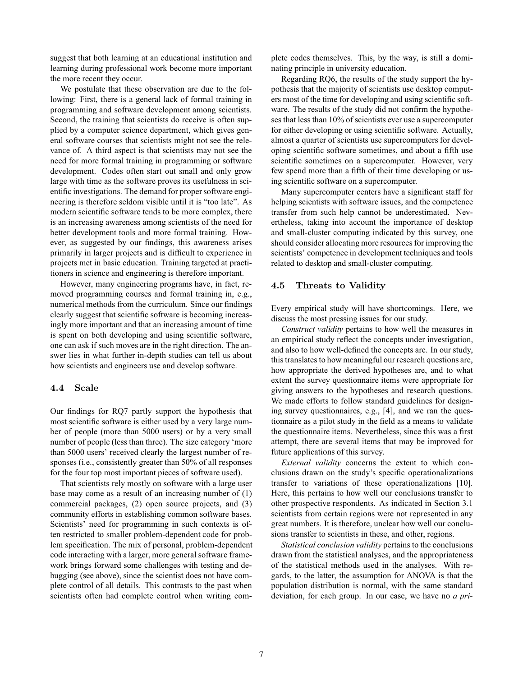suggest that both learning at an educational institution and learning during professional work become more important the more recent they occur.

We postulate that these observation are due to the following: First, there is a general lack of formal training in programming and software development among scientists. Second, the training that scientists do receive is often supplied by a computer science department, which gives general software courses that scientists might not see the relevance of. A third aspect is that scientists may not see the need for more formal training in programming or software development. Codes often start out small and only grow large with time as the software proves its usefulness in scientific investigations. The demand for proper software engineering is therefore seldom visible until it is "too late". As modern scientific software tends to be more complex, there is an increasing awareness among scientists of the need for better development tools and more formal training. However, as suggested by our findings, this awareness arises primarily in larger projects and is difficult to experience in projects met in basic education. Training targeted at practitioners in science and engineering is therefore important.

However, many engineering programs have, in fact, removed programming courses and formal training in, e.g., numerical methods from the curriculum. Since our findings clearly suggest that scientific software is becoming increasingly more important and that an increasing amount of time is spent on both developing and using scientific software, one can ask if such moves are in the right direction. The answer lies in what further in-depth studies can tell us about how scientists and engineers use and develop software.

### **4.4 Scale**

Our findings for RQ7 partly support the hypothesis that most scientific software is either used by a very large number of people (more than 5000 users) or by a very small number of people (less than three). The size category 'more than 5000 users' received clearly the largest number of responses (i.e., consistently greater than 50% of all responses for the four top most important pieces of software used).

That scientists rely mostly on software with a large user base may come as a result of an increasing number of (1) commercial packages, (2) open source projects, and (3) community efforts in establishing common software bases. Scientists' need for programming in such contexts is often restricted to smaller problem-dependent code for problem specification. The mix of personal, problem-dependent code interacting with a larger, more general software framework brings forward some challenges with testing and debugging (see above), since the scientist does not have complete control of all details. This contrasts to the past when scientists often had complete control when writing complete codes themselves. This, by the way, is still a dominating principle in university education.

Regarding RQ6, the results of the study support the hypothesis that the majority of scientists use desktop computers most of the time for developing and using scientific software. The results of the study did not confirm the hypotheses that less than 10% of scientists ever use a supercomputer for either developing or using scientific software. Actually, almost a quarter of scientists use supercomputers for developing scientific software sometimes, and about a fifth use scientific sometimes on a supercomputer. However, very few spend more than a fifth of their time developing or using scientific software on a supercomputer.

Many supercomputer centers have a significant staff for helping scientists with software issues, and the competence transfer from such help cannot be underestimated. Nevertheless, taking into account the importance of desktop and small-cluster computing indicated by this survey, one should consider allocating more resources for improving the scientists' competence in development techniques and tools related to desktop and small-cluster computing.

#### **4.5 Threats to Validity**

Every empirical study will have shortcomings. Here, we discuss the most pressing issues for our study.

*Construct validity* pertains to how well the measures in an empirical study reflect the concepts under investigation, and also to how well-defined the concepts are. In our study, this translates to how meaningful our research questions are, how appropriate the derived hypotheses are, and to what extent the survey questionnaire items were appropriate for giving answers to the hypotheses and research questions. We made efforts to follow standard guidelines for designing survey questionnaires, e.g., [4], and we ran the questionnaire as a pilot study in the field as a means to validate the questionnaire items. Nevertheless, since this was a first attempt, there are several items that may be improved for future applications of this survey.

*External validity* concerns the extent to which conclusions drawn on the study's specific operationalizations transfer to variations of these operationalizations [10]. Here, this pertains to how well our conclusions transfer to other prospective respondents. As indicated in Section 3.1 scientists from certain regions were not represented in any great numbers. It is therefore, unclear how well our conclusions transfer to scientists in these, and other, regions.

*Statistical conclusion validity* pertains to the conclusions drawn from the statistical analyses, and the appropriateness of the statistical methods used in the analyses. With regards, to the latter, the assumption for ANOVA is that the population distribution is normal, with the same standard deviation, for each group. In our case, we have no *a pri-*